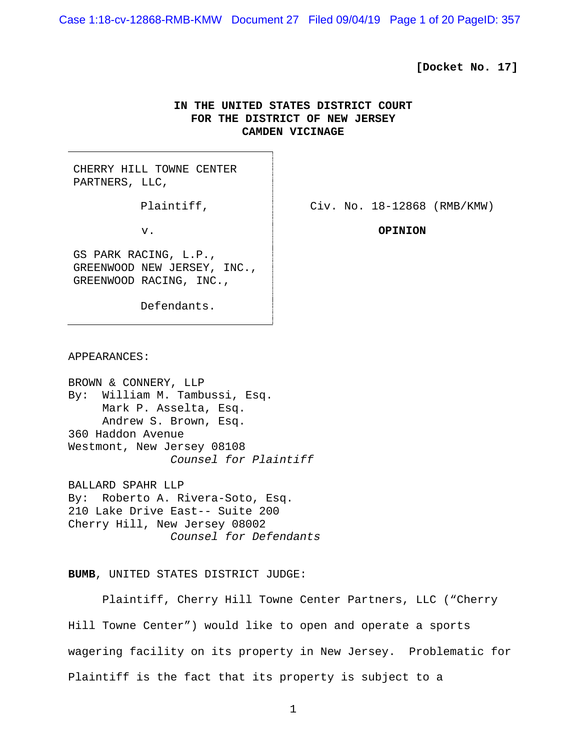Case 1:18-cv-12868-RMB-KMW Document 27 Filed 09/04/19 Page 1 of 20 PageID: 357

### **[Docket No. 17]**

# **IN THE UNITED STATES DISTRICT COURT FOR THE DISTRICT OF NEW JERSEY CAMDEN VICINAGE**

CHERRY HILL TOWNE CENTER PARTNERS, LLC,

GS PARK RACING, L.P., GREENWOOD NEW JERSEY, INC., GREENWOOD RACING, INC.,

Defendants.

Plaintiff,  $\qquad \qquad$   $\qquad \qquad$  Civ. No. 18-12868 (RMB/KMW)

v. **OPINION**

APPEARANCES:

BROWN & CONNERY, LLP By: William M. Tambussi, Esq. Mark P. Asselta, Esq. Andrew S. Brown, Esq. 360 Haddon Avenue Westmont, New Jersey 08108 *Counsel for Plaintiff* BALLARD SPAHR LLP

By: Roberto A. Rivera-Soto, Esq. 210 Lake Drive East-- Suite 200 Cherry Hill, New Jersey 08002 *Counsel for Defendants*

**BUMB**, UNITED STATES DISTRICT JUDGE:

Plaintiff, Cherry Hill Towne Center Partners, LLC ("Cherry Hill Towne Center") would like to open and operate a sports wagering facility on its property in New Jersey. Problematic for Plaintiff is the fact that its property is subject to a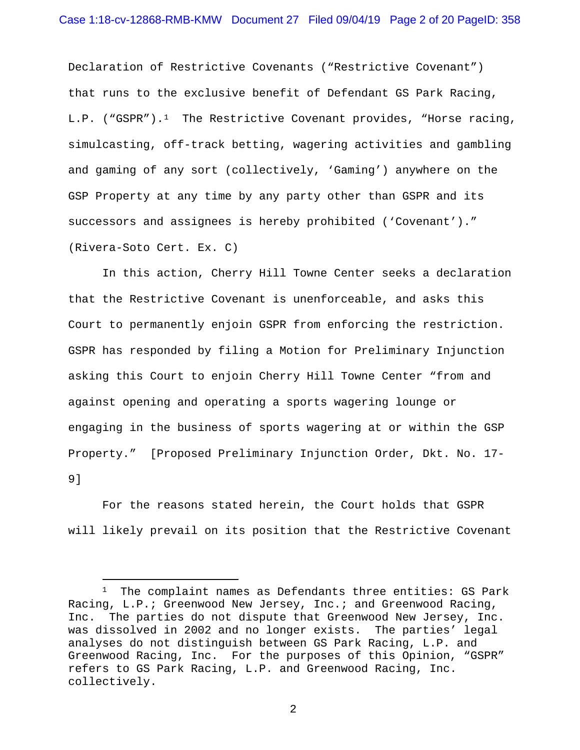Declaration of Restrictive Covenants ("Restrictive Covenant") that runs to the exclusive benefit of Defendant GS Park Racing,  $L.P.$  ("GSPR").<sup>[1](#page-1-0)</sup> The Restrictive Covenant provides, "Horse racing, simulcasting, off-track betting, wagering activities and gambling and gaming of any sort (collectively, 'Gaming') anywhere on the GSP Property at any time by any party other than GSPR and its successors and assignees is hereby prohibited ('Covenant')." (Rivera-Soto Cert. Ex. C)

In this action, Cherry Hill Towne Center seeks a declaration that the Restrictive Covenant is unenforceable, and asks this Court to permanently enjoin GSPR from enforcing the restriction. GSPR has responded by filing a Motion for Preliminary Injunction asking this Court to enjoin Cherry Hill Towne Center "from and against opening and operating a sports wagering lounge or engaging in the business of sports wagering at or within the GSP Property." [Proposed Preliminary Injunction Order, Dkt. No. 17- 9]

For the reasons stated herein, the Court holds that GSPR will likely prevail on its position that the Restrictive Covenant

<span id="page-1-0"></span><sup>&</sup>lt;sup>1</sup> The complaint names as Defendants three entities: GS Park Racing, L.P.; Greenwood New Jersey, Inc.; and Greenwood Racing, Inc. The parties do not dispute that Greenwood New Jersey, Inc. was dissolved in 2002 and no longer exists. The parties' legal analyses do not distinguish between GS Park Racing, L.P. and Greenwood Racing, Inc. For the purposes of this Opinion, "GSPR" refers to GS Park Racing, L.P. and Greenwood Racing, Inc. collectively.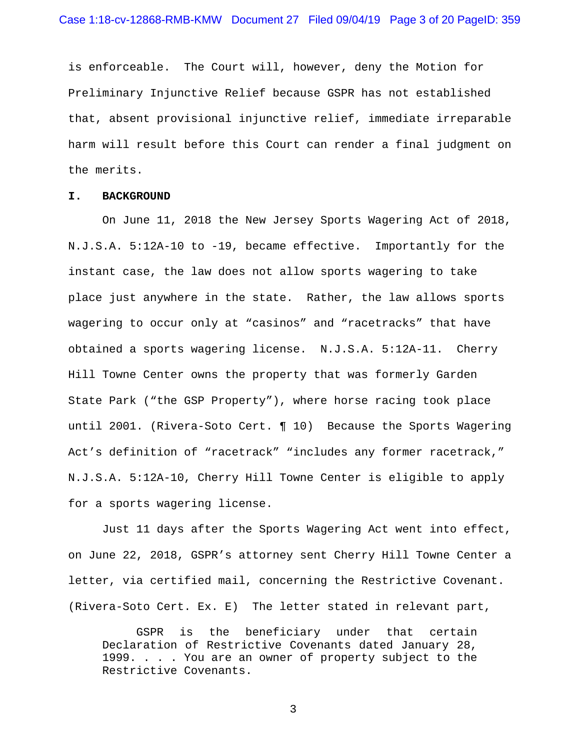is enforceable. The Court will, however, deny the Motion for Preliminary Injunctive Relief because GSPR has not established that, absent provisional injunctive relief, immediate irreparable harm will result before this Court can render a final judgment on the merits.

#### **I. BACKGROUND**

On June 11, 2018 the New Jersey Sports Wagering Act of 2018, N.J.S.A. 5:12A-10 to -19, became effective. Importantly for the instant case, the law does not allow sports wagering to take place just anywhere in the state. Rather, the law allows sports wagering to occur only at "casinos" and "racetracks" that have obtained a sports wagering license. N.J.S.A. 5:12A-11. Cherry Hill Towne Center owns the property that was formerly Garden State Park ("the GSP Property"), where horse racing took place until 2001. (Rivera-Soto Cert. ¶ 10) Because the Sports Wagering Act's definition of "racetrack" "includes any former racetrack," N.J.S.A. 5:12A-10, Cherry Hill Towne Center is eligible to apply for a sports wagering license.

Just 11 days after the Sports Wagering Act went into effect, on June 22, 2018, GSPR's attorney sent Cherry Hill Towne Center a letter, via certified mail, concerning the Restrictive Covenant. (Rivera-Soto Cert. Ex. E) The letter stated in relevant part,

GSPR is the beneficiary under that certain Declaration of Restrictive Covenants dated January 28, 1999. . . . You are an owner of property subject to the Restrictive Covenants.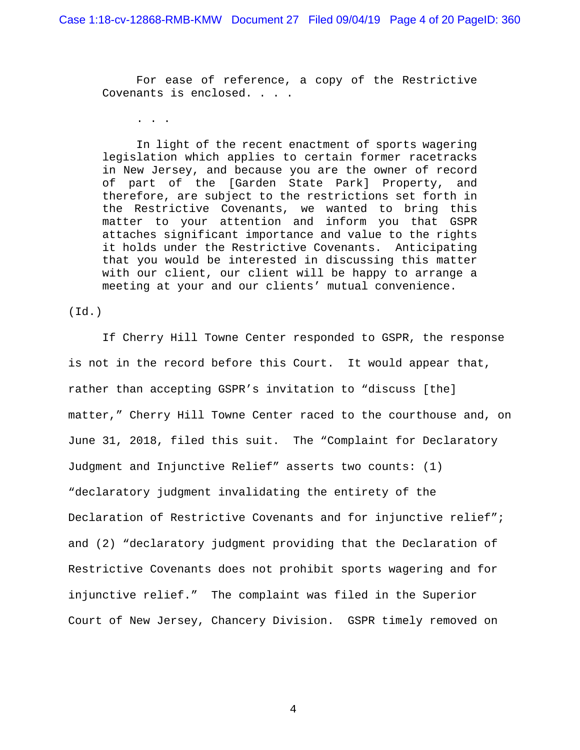For ease of reference, a copy of the Restrictive Covenants is enclosed. . . .

 $\mathbf{r} = \mathbf{r} - \mathbf{r}$ 

In light of the recent enactment of sports wagering legislation which applies to certain former racetracks in New Jersey, and because you are the owner of record of part of the [Garden State Park] Property, and therefore, are subject to the restrictions set forth in the Restrictive Covenants, we wanted to bring this matter to your attention and inform you that GSPR attaches significant importance and value to the rights it holds under the Restrictive Covenants. Anticipating that you would be interested in discussing this matter with our client, our client will be happy to arrange a meeting at your and our clients' mutual convenience.

(Id.)

If Cherry Hill Towne Center responded to GSPR, the response is not in the record before this Court. It would appear that, rather than accepting GSPR's invitation to "discuss [the] matter," Cherry Hill Towne Center raced to the courthouse and, on June 31, 2018, filed this suit. The "Complaint for Declaratory Judgment and Injunctive Relief" asserts two counts: (1) "declaratory judgment invalidating the entirety of the Declaration of Restrictive Covenants and for injunctive relief"; and (2) "declaratory judgment providing that the Declaration of Restrictive Covenants does not prohibit sports wagering and for injunctive relief." The complaint was filed in the Superior Court of New Jersey, Chancery Division. GSPR timely removed on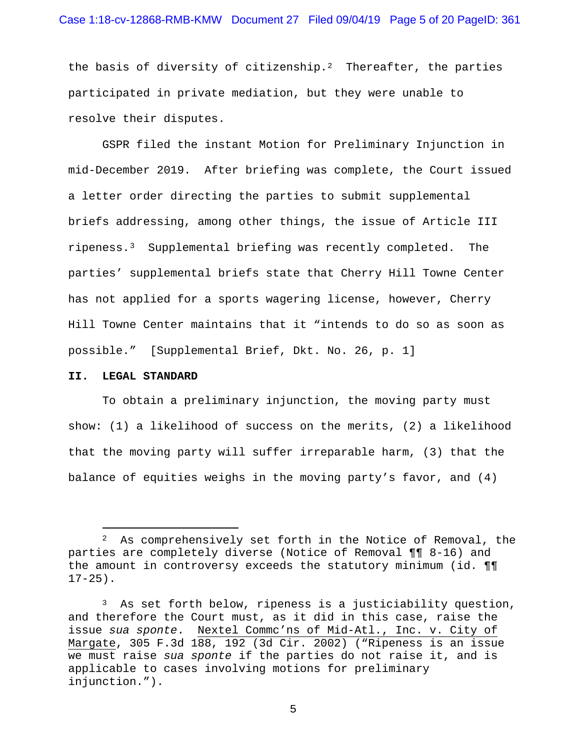# Case 1:18-cv-12868-RMB-KMW Document 27 Filed 09/04/19 Page 5 of 20 PageID: 361

the basis of diversity of citizenship.<sup>2</sup> Thereafter, the parties participated in private mediation, but they were unable to resolve their disputes.

GSPR filed the instant Motion for Preliminary Injunction in mid-December 2019. After briefing was complete, the Court issued a letter order directing the parties to submit supplemental briefs addressing, among other things, the issue of Article III ripeness.[3](#page-4-1) Supplemental briefing was recently completed. The parties' supplemental briefs state that Cherry Hill Towne Center has not applied for a sports wagering license, however, Cherry Hill Towne Center maintains that it "intends to do so as soon as possible." [Supplemental Brief, Dkt. No. 26, p. 1]

#### **II. LEGAL STANDARD**

To obtain a preliminary injunction, the moving party must show: (1) a likelihood of success on the merits, (2) a likelihood that the moving party will suffer irreparable harm, (3) that the balance of equities weighs in the moving party's favor, and (4)

<span id="page-4-0"></span><sup>&</sup>lt;sup>2</sup> As comprehensively set forth in the Notice of Removal, the parties are completely diverse (Notice of Removal ¶¶ 8-16) and the amount in controversy exceeds the statutory minimum (id. ¶¶  $17-25$ ).

<span id="page-4-1"></span><sup>3</sup> As set forth below, ripeness is a justiciability question, and therefore the Court must, as it did in this case, raise the issue *sua sponte*. Nextel Commc'ns of Mid-Atl., Inc. v. City of Margate, 305 F.3d 188, 192 (3d Cir. 2002) ("Ripeness is an issue we must raise *sua sponte* if the parties do not raise it, and is applicable to cases involving motions for preliminary injunction.").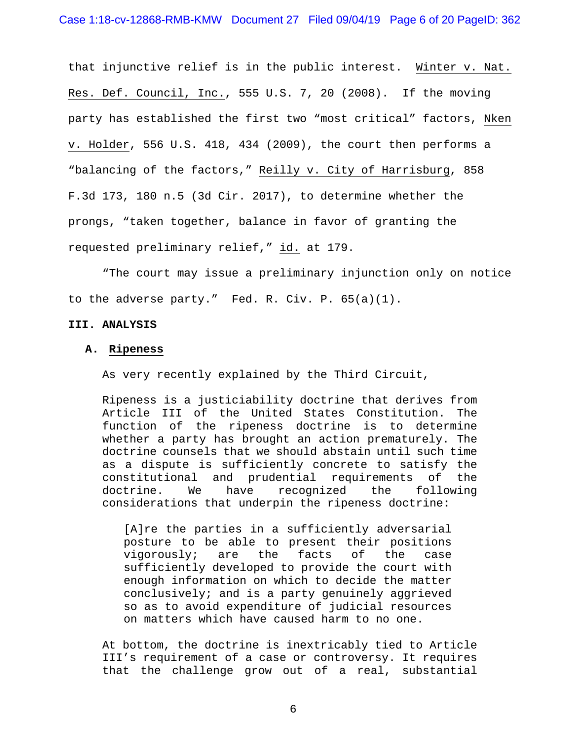that injunctive relief is in the public interest. Winter v. Nat. Res. Def. Council, Inc., 555 U.S. 7, 20 (2008). If the moving party has established the first two "most critical" factors, Nken v. Holder, 556 U.S. 418, 434 (2009), the court then performs a "balancing of the factors," Reilly v. City of Harrisburg, 858 F.3d 173, 180 n.5 (3d Cir. 2017), to determine whether the prongs, "taken together, balance in favor of granting the requested preliminary relief," id. at 179.

"The court may issue a preliminary injunction only on notice to the adverse party." Fed. R. Civ. P. 65(a)(1).

### **III. ANALYSIS**

### **A. Ripeness**

As very recently explained by the Third Circuit,

Ripeness is a justiciability doctrine that derives from Article III of the United States Constitution. The function of the ripeness doctrine is to determine whether a party has brought an action prematurely. The doctrine counsels that we should abstain until such time as a dispute is sufficiently concrete to satisfy the constitutional and prudential requirements of the doctrine. We have recognized the following considerations that underpin the ripeness doctrine:

[A]re the parties in a sufficiently adversarial posture to be able to present their positions<br>vigorously; are the facts of the case vigorously; are the facts of the case sufficiently developed to provide the court with enough information on which to decide the matter conclusively; and is a party genuinely aggrieved so as to avoid expenditure of judicial resources on matters which have caused harm to no one.

At bottom, the doctrine is inextricably tied to Article III's requirement of a case or controversy. It requires that the challenge grow out of a real, substantial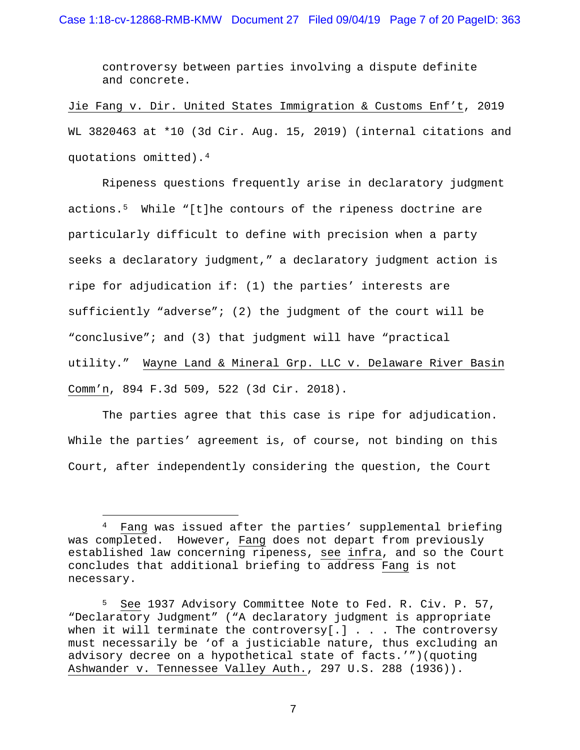controversy between parties involving a dispute definite and concrete.

Jie Fang v. Dir. United States Immigration & Customs Enf't, 2019 WL 3820463 at \*10 (3d Cir. Aug. 15, 2019) (internal citations and quotations omitted)[.4](#page-6-0)

Ripeness questions frequently arise in declaratory judgment actions.[5](#page-6-1) While "[t]he contours of the ripeness doctrine are particularly difficult to define with precision when a party seeks a declaratory judgment," a declaratory judgment action is ripe for adjudication if: (1) the parties' interests are sufficiently "adverse"; (2) the judgment of the court will be "conclusive"; and (3) that judgment will have "practical utility." Wayne Land & Mineral Grp. LLC v. Delaware River Basin Comm'n, 894 F.3d 509, 522 (3d Cir. 2018).

The parties agree that this case is ripe for adjudication. While the parties' agreement is, of course, not binding on this Court, after independently considering the question, the Court

<span id="page-6-0"></span><sup>4</sup> Fang was issued after the parties' supplemental briefing was completed. However, Fang does not depart from previously established law concerning ripeness, see infra, and so the Court concludes that additional briefing to address Fang is not necessary.

<span id="page-6-1"></span><sup>5</sup> See 1937 Advisory Committee Note to Fed. R. Civ. P. 57, "Declaratory Judgment" ("A declaratory judgment is appropriate when it will terminate the controversy[.]  $\ldots$  . The controversy must necessarily be 'of a justiciable nature, thus excluding an advisory decree on a hypothetical state of facts.'")(quoting Ashwander v. Tennessee Valley Auth., 297 U.S. 288 (1936)).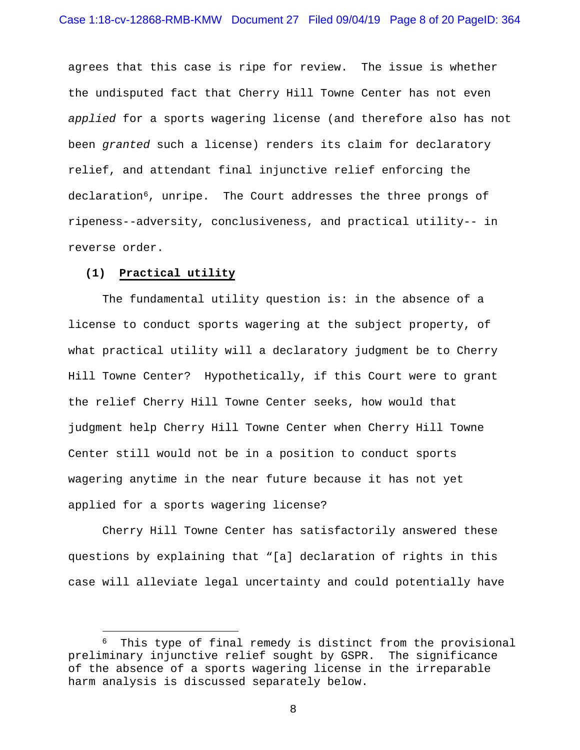agrees that this case is ripe for review. The issue is whether the undisputed fact that Cherry Hill Towne Center has not even *applied* for a sports wagering license (and therefore also has not been *granted* such a license) renders its claim for declaratory relief, and attendant final injunctive relief enforcing the declaration<sup>6</sup>, unripe. The Court addresses the three prongs of ripeness--adversity, conclusiveness, and practical utility-- in reverse order.

### **(1) Practical utility**

The fundamental utility question is: in the absence of a license to conduct sports wagering at the subject property, of what practical utility will a declaratory judgment be to Cherry Hill Towne Center? Hypothetically, if this Court were to grant the relief Cherry Hill Towne Center seeks, how would that judgment help Cherry Hill Towne Center when Cherry Hill Towne Center still would not be in a position to conduct sports wagering anytime in the near future because it has not yet applied for a sports wagering license?

Cherry Hill Towne Center has satisfactorily answered these questions by explaining that "[a] declaration of rights in this case will alleviate legal uncertainty and could potentially have

<span id="page-7-0"></span><sup>&</sup>lt;sup>6</sup> This type of final remedy is distinct from the provisional preliminary injunctive relief sought by GSPR. The significance of the absence of a sports wagering license in the irreparable harm analysis is discussed separately below.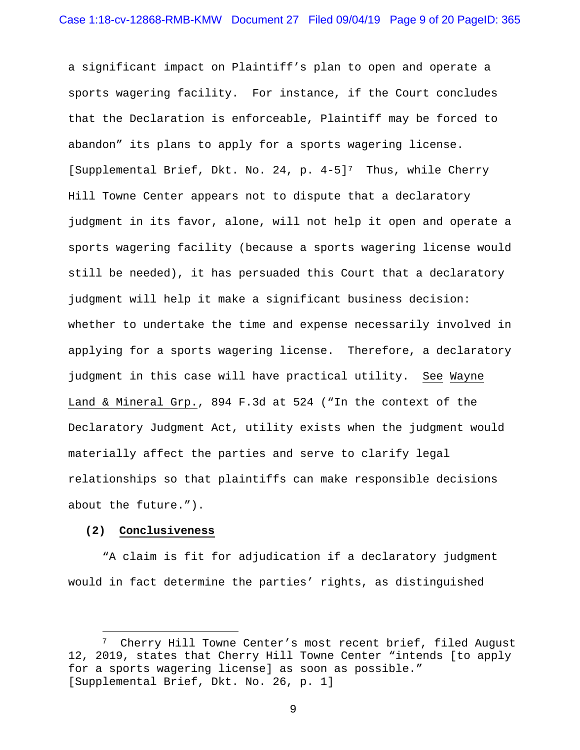a significant impact on Plaintiff's plan to open and operate a sports wagering facility. For instance, if the Court concludes that the Declaration is enforceable, Plaintiff may be forced to abandon" its plans to apply for a sports wagering license. [Supplemental Brief, Dkt. No. 24, p. 4-5]<sup>7</sup> Thus, while Cherry Hill Towne Center appears not to dispute that a declaratory judgment in its favor, alone, will not help it open and operate a sports wagering facility (because a sports wagering license would still be needed), it has persuaded this Court that a declaratory judgment will help it make a significant business decision: whether to undertake the time and expense necessarily involved in applying for a sports wagering license. Therefore, a declaratory judgment in this case will have practical utility. See Wayne Land & Mineral Grp., 894 F.3d at 524 ("In the context of the Declaratory Judgment Act, utility exists when the judgment would materially affect the parties and serve to clarify legal relationships so that plaintiffs can make responsible decisions about the future.").

### **(2) Conclusiveness**

"A claim is fit for adjudication if a declaratory judgment would in fact determine the parties' rights, as distinguished

<span id="page-8-0"></span><sup>7</sup> Cherry Hill Towne Center's most recent brief, filed August 12, 2019, states that Cherry Hill Towne Center "intends [to apply for a sports wagering license] as soon as possible." [Supplemental Brief, Dkt. No. 26, p. 1]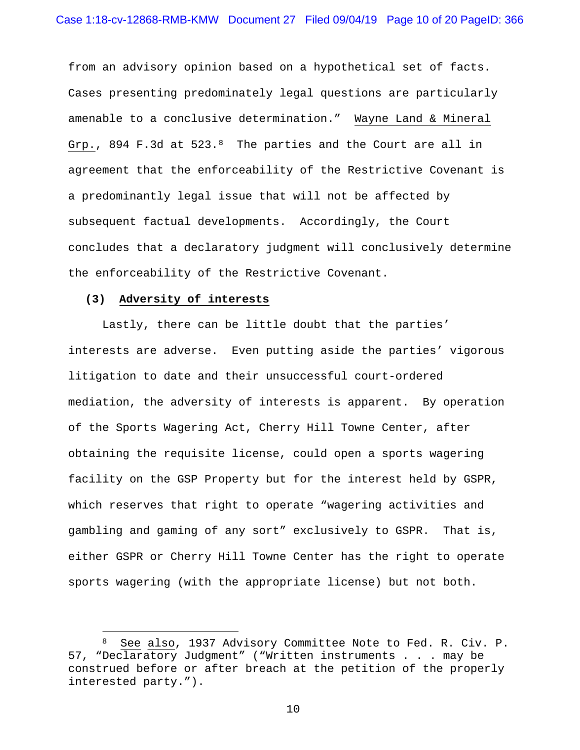from an advisory opinion based on a hypothetical set of facts. Cases presenting predominately legal questions are particularly amenable to a conclusive determination." Wayne Land & Mineral Grp., 894 F.3d at 523.[8](#page-9-0) The parties and the Court are all in agreement that the enforceability of the Restrictive Covenant is a predominantly legal issue that will not be affected by subsequent factual developments. Accordingly, the Court concludes that a declaratory judgment will conclusively determine the enforceability of the Restrictive Covenant.

# **(3) Adversity of interests**

Lastly, there can be little doubt that the parties' interests are adverse. Even putting aside the parties' vigorous litigation to date and their unsuccessful court-ordered mediation, the adversity of interests is apparent. By operation of the Sports Wagering Act, Cherry Hill Towne Center, after obtaining the requisite license, could open a sports wagering facility on the GSP Property but for the interest held by GSPR, which reserves that right to operate "wagering activities and gambling and gaming of any sort" exclusively to GSPR. That is, either GSPR or Cherry Hill Towne Center has the right to operate sports wagering (with the appropriate license) but not both.

<span id="page-9-0"></span><sup>8</sup> See also, 1937 Advisory Committee Note to Fed. R. Civ. P. 57, "Declaratory Judgment" ("Written instruments . . . may be construed before or after breach at the petition of the properly interested party.").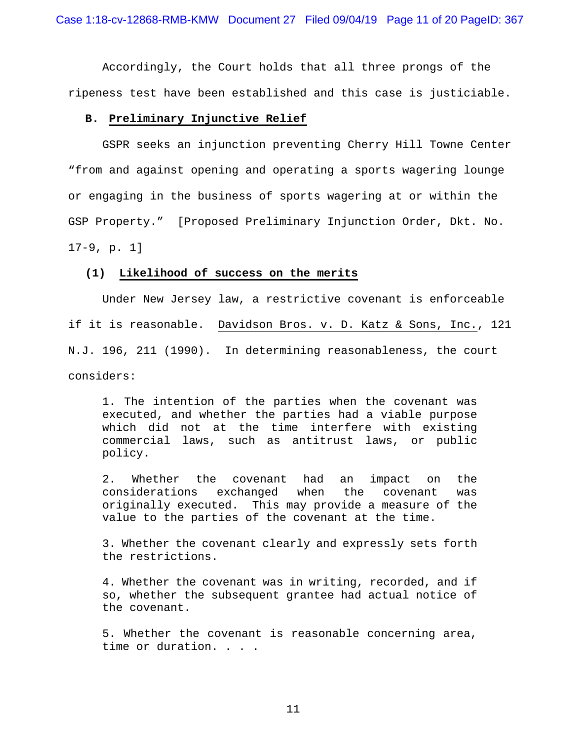Accordingly, the Court holds that all three prongs of the ripeness test have been established and this case is justiciable.

## **B. Preliminary Injunctive Relief**

GSPR seeks an injunction preventing Cherry Hill Towne Center "from and against opening and operating a sports wagering lounge or engaging in the business of sports wagering at or within the GSP Property." [Proposed Preliminary Injunction Order, Dkt. No. 17-9, p. 1]

### **(1) Likelihood of success on the merits**

Under New Jersey law, a restrictive covenant is enforceable if it is reasonable. Davidson Bros. v. D. Katz & Sons, Inc., 121 N.J. 196, 211 (1990). In determining reasonableness, the court considers:

1. The intention of the parties when the covenant was executed, and whether the parties had a viable purpose which did not at the time interfere with existing commercial laws, such as antitrust laws, or public policy.

2. Whether the covenant had an impact on the<br>considerations exchanged when the covenant was exchanged when the covenant was originally executed. This may provide a measure of the value to the parties of the covenant at the time.

3. Whether the covenant clearly and expressly sets forth the restrictions.

4. Whether the covenant was in writing, recorded, and if so, whether the subsequent grantee had actual notice of the covenant.

5. Whether the covenant is reasonable concerning area, time or duration. . . .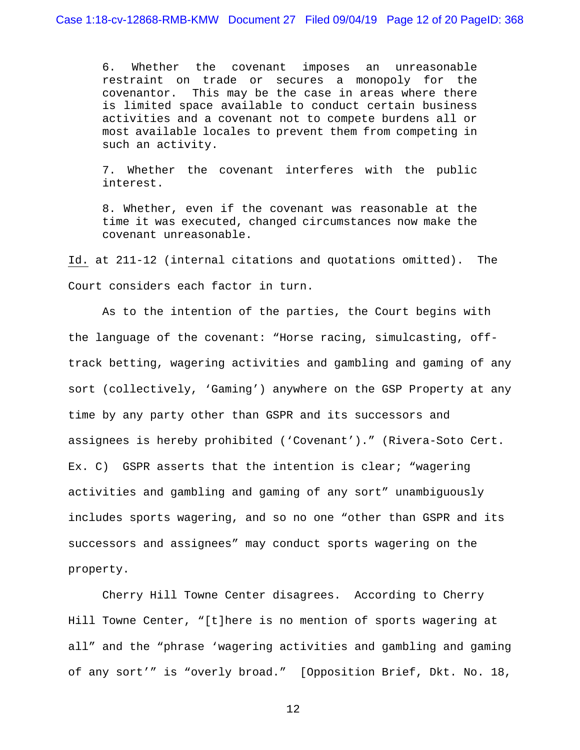6. Whether the covenant imposes an unreasonable restraint on trade or secures a monopoly for the covenantor. This may be the case in areas where there is limited space available to conduct certain business activities and a covenant not to compete burdens all or most available locales to prevent them from competing in such an activity.

7. Whether the covenant interferes with the public interest.

8. Whether, even if the covenant was reasonable at the time it was executed, changed circumstances now make the covenant unreasonable.

Id. at 211-12 (internal citations and quotations omitted). The Court considers each factor in turn.

As to the intention of the parties, the Court begins with the language of the covenant: "Horse racing, simulcasting, offtrack betting, wagering activities and gambling and gaming of any sort (collectively, 'Gaming') anywhere on the GSP Property at any time by any party other than GSPR and its successors and assignees is hereby prohibited ('Covenant')." (Rivera-Soto Cert. Ex. C) GSPR asserts that the intention is clear; "wagering activities and gambling and gaming of any sort" unambiguously includes sports wagering, and so no one "other than GSPR and its successors and assignees" may conduct sports wagering on the property.

Cherry Hill Towne Center disagrees. According to Cherry Hill Towne Center, "[t]here is no mention of sports wagering at all" and the "phrase 'wagering activities and gambling and gaming of any sort'" is "overly broad." [Opposition Brief, Dkt. No. 18,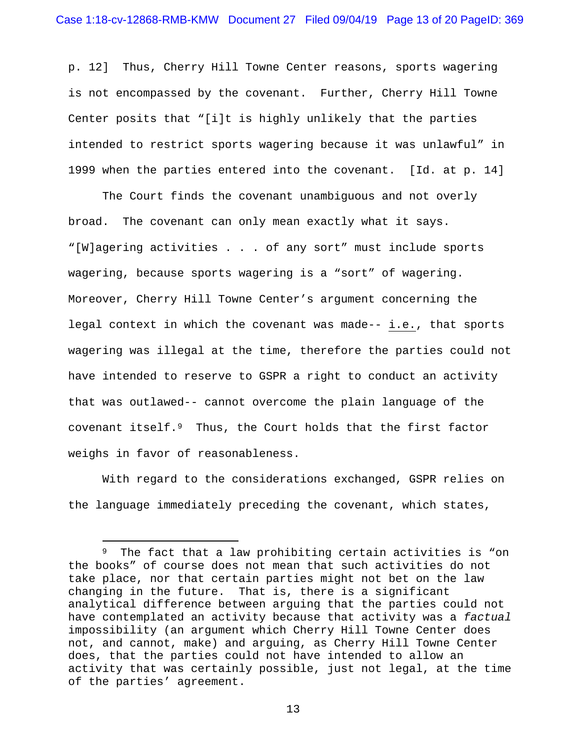p. 12] Thus, Cherry Hill Towne Center reasons, sports wagering is not encompassed by the covenant. Further, Cherry Hill Towne Center posits that "[i]t is highly unlikely that the parties intended to restrict sports wagering because it was unlawful" in 1999 when the parties entered into the covenant. [Id. at p. 14]

The Court finds the covenant unambiguous and not overly broad. The covenant can only mean exactly what it says. "[W]agering activities . . . of any sort" must include sports wagering, because sports wagering is a "sort" of wagering. Moreover, Cherry Hill Towne Center's argument concerning the legal context in which the covenant was made-- i.e., that sports wagering was illegal at the time, therefore the parties could not have intended to reserve to GSPR a right to conduct an activity that was outlawed-- cannot overcome the plain language of the covenant itself.[9](#page-12-0) Thus, the Court holds that the first factor weighs in favor of reasonableness.

With regard to the considerations exchanged, GSPR relies on the language immediately preceding the covenant, which states,

<span id="page-12-0"></span><sup>9</sup> The fact that a law prohibiting certain activities is "on the books" of course does not mean that such activities do not take place, nor that certain parties might not bet on the law changing in the future. That is, there is a significant analytical difference between arguing that the parties could not have contemplated an activity because that activity was a *factual* impossibility (an argument which Cherry Hill Towne Center does not, and cannot, make) and arguing, as Cherry Hill Towne Center does, that the parties could not have intended to allow an activity that was certainly possible, just not legal, at the time of the parties' agreement.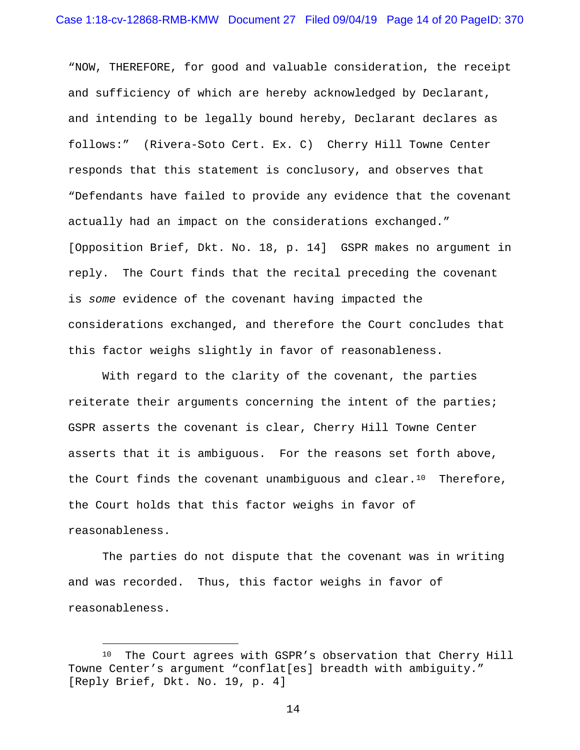"NOW, THEREFORE, for good and valuable consideration, the receipt and sufficiency of which are hereby acknowledged by Declarant, and intending to be legally bound hereby, Declarant declares as follows:" (Rivera-Soto Cert. Ex. C) Cherry Hill Towne Center responds that this statement is conclusory, and observes that "Defendants have failed to provide any evidence that the covenant actually had an impact on the considerations exchanged." [Opposition Brief, Dkt. No. 18, p. 14] GSPR makes no argument in reply. The Court finds that the recital preceding the covenant is *some* evidence of the covenant having impacted the considerations exchanged, and therefore the Court concludes that this factor weighs slightly in favor of reasonableness.

With regard to the clarity of the covenant, the parties reiterate their arguments concerning the intent of the parties; GSPR asserts the covenant is clear, Cherry Hill Towne Center asserts that it is ambiguous. For the reasons set forth above, the Court finds the covenant unambiguous and clear. $10$  Therefore, the Court holds that this factor weighs in favor of reasonableness.

The parties do not dispute that the covenant was in writing and was recorded. Thus, this factor weighs in favor of reasonableness.

<span id="page-13-0"></span><sup>&</sup>lt;sup>10</sup> The Court agrees with GSPR's observation that Cherry Hill Towne Center's argument "conflat[es] breadth with ambiguity." [Reply Brief, Dkt. No. 19, p. 4]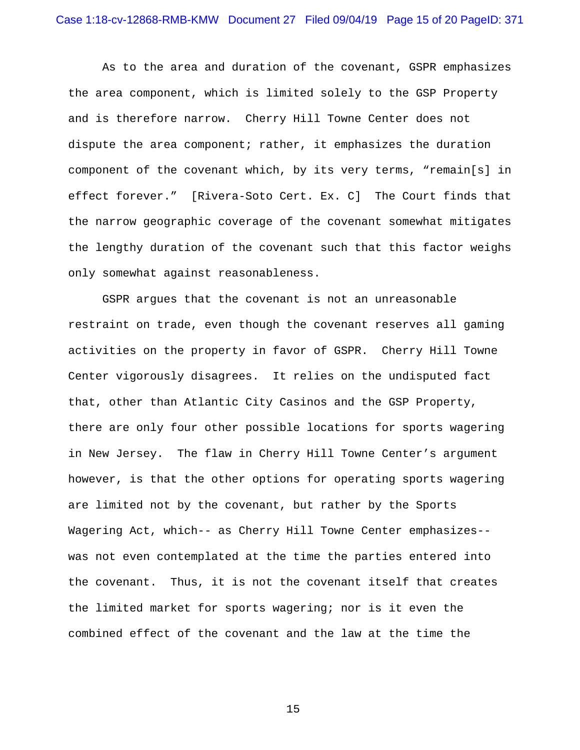As to the area and duration of the covenant, GSPR emphasizes the area component, which is limited solely to the GSP Property and is therefore narrow. Cherry Hill Towne Center does not dispute the area component; rather, it emphasizes the duration component of the covenant which, by its very terms, "remain[s] in effect forever." [Rivera-Soto Cert. Ex. C] The Court finds that the narrow geographic coverage of the covenant somewhat mitigates the lengthy duration of the covenant such that this factor weighs only somewhat against reasonableness.

GSPR argues that the covenant is not an unreasonable restraint on trade, even though the covenant reserves all gaming activities on the property in favor of GSPR. Cherry Hill Towne Center vigorously disagrees. It relies on the undisputed fact that, other than Atlantic City Casinos and the GSP Property, there are only four other possible locations for sports wagering in New Jersey. The flaw in Cherry Hill Towne Center's argument however, is that the other options for operating sports wagering are limited not by the covenant, but rather by the Sports Wagering Act, which-- as Cherry Hill Towne Center emphasizes- was not even contemplated at the time the parties entered into the covenant. Thus, it is not the covenant itself that creates the limited market for sports wagering; nor is it even the combined effect of the covenant and the law at the time the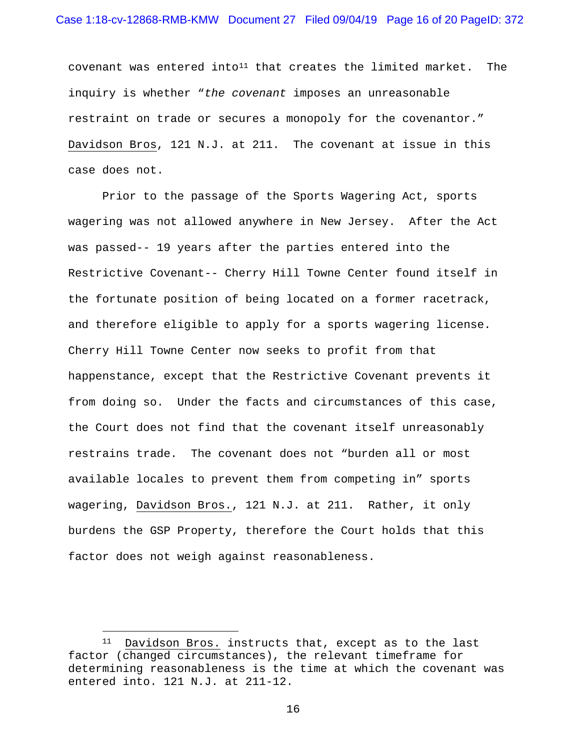covenant was entered into<sup>11</sup> that creates the limited market. The inquiry is whether "*the covenant* imposes an unreasonable restraint on trade or secures a monopoly for the covenantor." Davidson Bros, 121 N.J. at 211. The covenant at issue in this case does not.

Prior to the passage of the Sports Wagering Act, sports wagering was not allowed anywhere in New Jersey. After the Act was passed-- 19 years after the parties entered into the Restrictive Covenant-- Cherry Hill Towne Center found itself in the fortunate position of being located on a former racetrack, and therefore eligible to apply for a sports wagering license. Cherry Hill Towne Center now seeks to profit from that happenstance, except that the Restrictive Covenant prevents it from doing so. Under the facts and circumstances of this case, the Court does not find that the covenant itself unreasonably restrains trade. The covenant does not "burden all or most available locales to prevent them from competing in" sports wagering, Davidson Bros., 121 N.J. at 211. Rather, it only burdens the GSP Property, therefore the Court holds that this factor does not weigh against reasonableness.

<span id="page-15-0"></span><sup>11</sup> Davidson Bros. instructs that, except as to the last factor (changed circumstances), the relevant timeframe for determining reasonableness is the time at which the covenant was entered into. 121 N.J. at 211-12.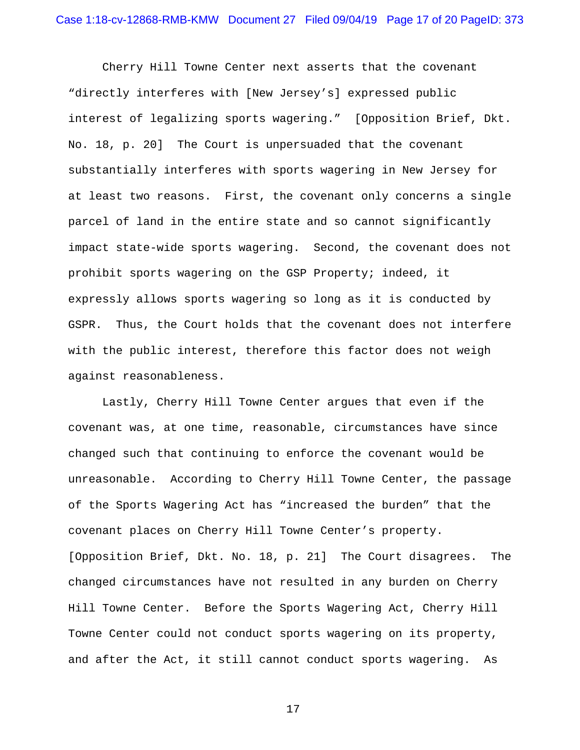Cherry Hill Towne Center next asserts that the covenant "directly interferes with [New Jersey's] expressed public interest of legalizing sports wagering." [Opposition Brief, Dkt. No. 18, p. 20] The Court is unpersuaded that the covenant substantially interferes with sports wagering in New Jersey for at least two reasons. First, the covenant only concerns a single parcel of land in the entire state and so cannot significantly impact state-wide sports wagering. Second, the covenant does not prohibit sports wagering on the GSP Property; indeed, it expressly allows sports wagering so long as it is conducted by GSPR. Thus, the Court holds that the covenant does not interfere with the public interest, therefore this factor does not weigh against reasonableness.

Lastly, Cherry Hill Towne Center argues that even if the covenant was, at one time, reasonable, circumstances have since changed such that continuing to enforce the covenant would be unreasonable. According to Cherry Hill Towne Center, the passage of the Sports Wagering Act has "increased the burden" that the covenant places on Cherry Hill Towne Center's property. [Opposition Brief, Dkt. No. 18, p. 21] The Court disagrees. The changed circumstances have not resulted in any burden on Cherry Hill Towne Center. Before the Sports Wagering Act, Cherry Hill Towne Center could not conduct sports wagering on its property, and after the Act, it still cannot conduct sports wagering. As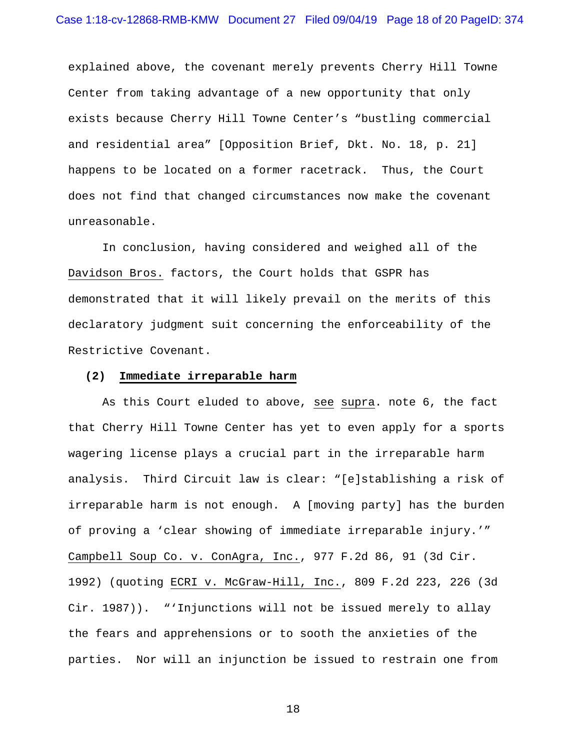explained above, the covenant merely prevents Cherry Hill Towne Center from taking advantage of a new opportunity that only exists because Cherry Hill Towne Center's "bustling commercial and residential area" [Opposition Brief, Dkt. No. 18, p. 21] happens to be located on a former racetrack. Thus, the Court does not find that changed circumstances now make the covenant unreasonable.

In conclusion, having considered and weighed all of the Davidson Bros. factors, the Court holds that GSPR has demonstrated that it will likely prevail on the merits of this declaratory judgment suit concerning the enforceability of the Restrictive Covenant.

## **(2) Immediate irreparable harm**

As this Court eluded to above, see supra. note 6, the fact that Cherry Hill Towne Center has yet to even apply for a sports wagering license plays a crucial part in the irreparable harm analysis. Third Circuit law is clear: "[e]stablishing a risk of irreparable harm is not enough. A [moving party] has the burden of proving a 'clear showing of immediate irreparable injury.'" Campbell Soup Co. v. ConAgra, Inc., 977 F.2d 86, 91 (3d Cir. 1992) (quoting ECRI v. McGraw-Hill, Inc., 809 F.2d 223, 226 (3d Cir. 1987)). "'Injunctions will not be issued merely to allay the fears and apprehensions or to sooth the anxieties of the parties. Nor will an injunction be issued to restrain one from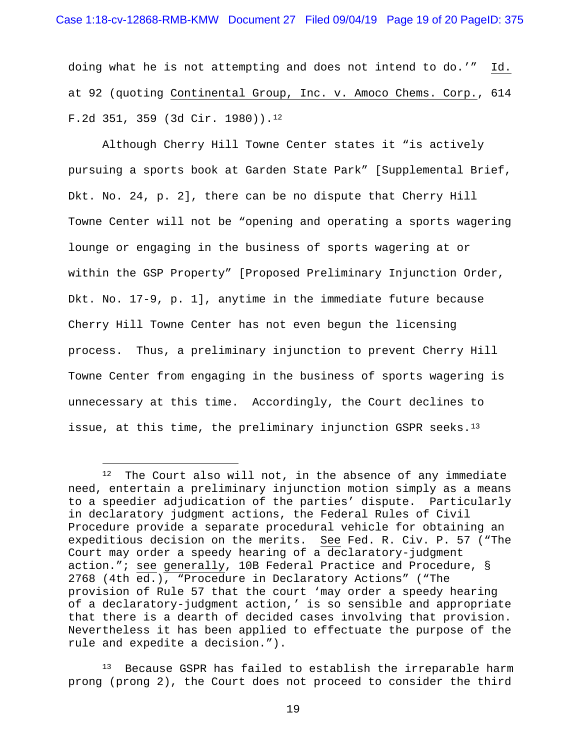doing what he is not attempting and does not intend to do.'" Id. at 92 (quoting Continental Group, Inc. v. Amoco Chems. Corp., 614 F.2d 351, 359 (3d Cir. 1980))[.12](#page-18-0)

Although Cherry Hill Towne Center states it "is actively pursuing a sports book at Garden State Park" [Supplemental Brief, Dkt. No. 24, p. 2], there can be no dispute that Cherry Hill Towne Center will not be "opening and operating a sports wagering lounge or engaging in the business of sports wagering at or within the GSP Property" [Proposed Preliminary Injunction Order, Dkt. No. 17-9, p. 1], anytime in the immediate future because Cherry Hill Towne Center has not even begun the licensing process. Thus, a preliminary injunction to prevent Cherry Hill Towne Center from engaging in the business of sports wagering is unnecessary at this time. Accordingly, the Court declines to issue, at this time, the preliminary injunction GSPR seeks.<sup>[13](#page-18-1)</sup>

<span id="page-18-0"></span><sup>&</sup>lt;sup>12</sup> The Court also will not, in the absence of any immediate need, entertain a preliminary injunction motion simply as a means to a speedier adjudication of the parties' dispute. Particularly in declaratory judgment actions, the Federal Rules of Civil Procedure provide a separate procedural vehicle for obtaining an expeditious decision on the merits. See Fed. R. Civ. P. 57 ("The Court may order a speedy hearing of a declaratory-judgment action."; see generally, 10B Federal Practice and Procedure, § 2768 (4th ed.), "Procedure in Declaratory Actions" ("The provision of Rule 57 that the court 'may order a speedy hearing of a declaratory-judgment action,' is so sensible and appropriate that there is a dearth of decided cases involving that provision. Nevertheless it has been applied to effectuate the purpose of the rule and expedite a decision.").

<span id="page-18-1"></span><sup>&</sup>lt;sup>13</sup> Because GSPR has failed to establish the irreparable harm prong (prong 2), the Court does not proceed to consider the third